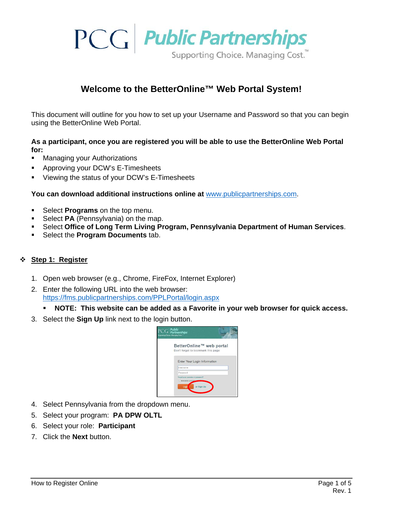

## **Welcome to the BetterOnline™ Web Portal System!**

This document will outline for you how to set up your Username and Password so that you can begin using the BetterOnline Web Portal.

### **As a participant, once you are registered you will be able to use the BetterOnline Web Portal for:**

- Managing your Authorizations
- **Approving your DCW's E-Timesheets**
- Viewing the status of your DCW's E-Timesheets

**You can download additional instructions online at** [www.publicpartnerships.com.](http://www.publicpartnerships.com/)

- **Select Programs** on the top menu.
- **Select PA** (Pennsylvania) on the map.
- Select **Office of Long Term Living Program, Pennsylvania Department of Human Services**.
- Select the **Program Documents** tab.

## **Step 1: Register**

- 1. Open web browser (e.g., Chrome, FireFox, Internet Explorer)
- 2. Enter the following URL into the web browser: <https://fms.publicpartnerships.com/PPLPortal/login.aspx>
	- **NOTE: This website can be added as a Favorite in your web browser for quick access.**
- 3. Select the **Sign Up** link next to the login button.



- 4. Select Pennsylvania from the dropdown menu.
- 5. Select your program: **PA DPW OLTL**
- 6. Select your role: **Participant**
- 7. Click the **Next** button.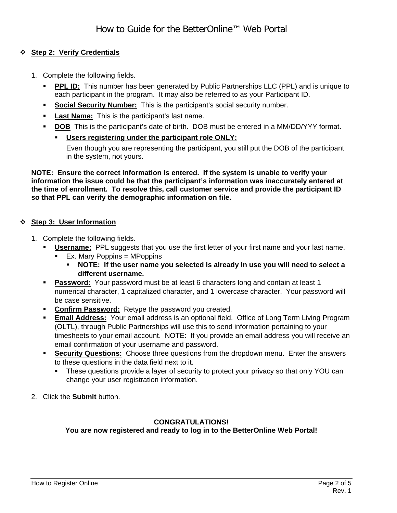## **Step 2: Verify Credentials**

- 1. Complete the following fields.
	- **PPL ID:** This number has been generated by Public Partnerships LLC (PPL) and is unique to each participant in the program. It may also be referred to as your Participant ID.
	- **Social Security Number:** This is the participant's social security number.
	- **Last Name:** This is the participant's last name.
	- **DOB** This is the participant's date of birth. DOB must be entered in a MM/DD/YYY format.
		- **Users registering under the participant role ONLY:** Even though you are representing the participant, you still put the DOB of the participant in the system, not yours.

**NOTE: Ensure the correct information is entered. If the system is unable to verify your information the issue could be that the participant's information was inaccurately entered at the time of enrollment. To resolve this, call customer service and provide the participant ID so that PPL can verify the demographic information on file.**

#### **Step 3: User Information**

- 1. Complete the following fields.
	- **Username:** PPL suggests that you use the first letter of your first name and your last name.  $\blacksquare$  Ex. Mary Poppins = MPoppins
		- **NOTE: If the user name you selected is already in use you will need to select a different username.**
	- **Password:** Your password must be at least 6 characters long and contain at least 1 numerical character, 1 capitalized character, and 1 lowercase character. Your password will be case sensitive.
	- **Confirm Password:** Retype the password you created.
	- **Email Address:** Your email address is an optional field. Office of Long Term Living Program (OLTL), through Public Partnerships will use this to send information pertaining to your timesheets to your email account. NOTE: If you provide an email address you will receive an email confirmation of your username and password.
	- **Security Questions:** Choose three questions from the dropdown menu. Enter the answers to these questions in the data field next to it.
		- These questions provide a layer of security to protect your privacy so that only YOU can change your user registration information.
- 2. Click the **Submit** button.

#### **CONGRATULATIONS!**

**You are now registered and ready to log in to the BetterOnline Web Portal!**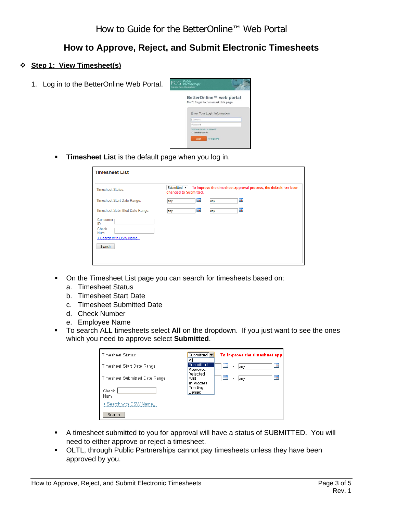# **How to Approve, Reject, and Submit Electronic Timesheets**

## **Step 1: View Timesheet(s)**

1. Log in to the BetterOnline Web Portal.



**Timesheet List** is the default page when you log in.

| <b>Timesheet List</b>                                                             |                                                                                                         |
|-----------------------------------------------------------------------------------|---------------------------------------------------------------------------------------------------------|
| <b>Timesheet Status:</b>                                                          | Submitted ▼<br>To improve the timesheet approval process, the default has been<br>changed to Submitted. |
| Timesheet Start Date Range:                                                       | ▦<br><b>III</b><br>any<br>any<br>$\overline{a}$                                                         |
| Timesheet Submitted Date Range:                                                   | ▦<br>P<br>any<br>٠<br>any                                                                               |
| Consumer<br>ID:<br>Check<br><b>Num</b><br>+ Search with DSW Name<br><b>Search</b> |                                                                                                         |

- On the Timesheet List page you can search for timesheets based on:
	- a. Timesheet Status
	- b. Timesheet Start Date
	- c. Timesheet Submitted Date
	- d. Check Number
	- e. Employee Name
- To search ALL timesheets select **All** on the dropdown. If you just want to see the ones which you need to approve select **Submitted**.

| Timesheet Status:               | Submitted v<br>Αll             |    | To improve the timesheet appr |           |
|---------------------------------|--------------------------------|----|-------------------------------|-----------|
| Timesheet Start Date Range:     | Submitted<br>Approved          | ▦  | <b>Jany</b>                   | <b>TP</b> |
| Timesheet Submitted Date Range: | Rejected<br>Paid<br>In Process | HH | lany                          | ΠH        |
| Check<br>Num                    | Pendina<br>Denied              |    |                               |           |
| + Search with DSW Name          |                                |    |                               |           |
| Search                          |                                |    |                               |           |

- A timesheet submitted to you for approval will have a status of SUBMITTED. You will need to either approve or reject a timesheet.
- **OLTL, through Public Partnerships cannot pay timesheets unless they have been** approved by you.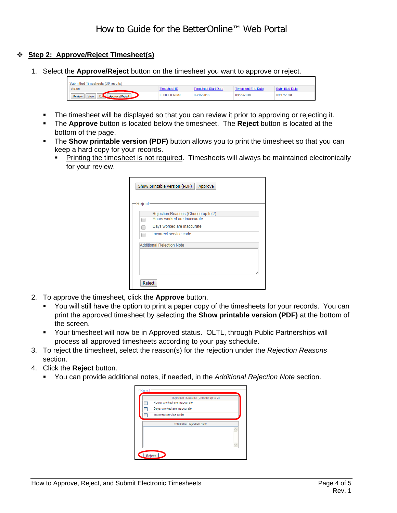## **Step 2: Approve/Reject Timesheet(s)**

1. Select the **Approve/Reject** button on the timesheet you want to approve or reject.

| Submitted Timesheets (30 results)                          |              |                     |                    |            |  |  |  |
|------------------------------------------------------------|--------------|---------------------|--------------------|------------|--|--|--|
| Action                                                     | imesheet ID  | imesheet Start Date | Timesheet End Date |            |  |  |  |
| Ed <sub>s</sub><br><b>View</b><br>Approve/Reject<br>Review | EL0000037089 | 09/16/2018          | 09/29/2018         | 09/17/2018 |  |  |  |

- The timesheet will be displayed so that you can review it prior to approving or rejecting it.
- The **Approve** button is located below the timesheet. The **Reject** button is located at the bottom of the page.
- The **Show printable version (PDF)** button allows you to print the timesheet so that you can keep a hard copy for your records.
	- Printing the timesheet is not required. Timesheets will always be maintained electronically for your review.

|        | Show printable version (PDF)<br>Approve |  |  |  |
|--------|-----------------------------------------|--|--|--|
| Reject |                                         |  |  |  |
|        | Rejection Reasons (Choose up to 2)      |  |  |  |
|        | Hours worked are inaccurate             |  |  |  |
|        | Days worked are inaccurate              |  |  |  |
|        | Incorrect service code                  |  |  |  |
|        | <b>Additional Rejection Note</b>        |  |  |  |
|        |                                         |  |  |  |
|        |                                         |  |  |  |
|        |                                         |  |  |  |
| Reject |                                         |  |  |  |

- 2. To approve the timesheet, click the **Approve** button.
	- You will still have the option to print a paper copy of the timesheets for your records. You can print the approved timesheet by selecting the **Show printable version (PDF)** at the bottom of the screen.
	- Your timesheet will now be in Approved status. OLTL, through Public Partnerships will process all approved timesheets according to your pay schedule.
- 3. To reject the timesheet, select the reason(s) for the rejection under the *Rejection Reasons* section.
- 4. Click the **Reject** button.
	- You can provide additional notes, if needed, in the *Additional Rejection Note* section.